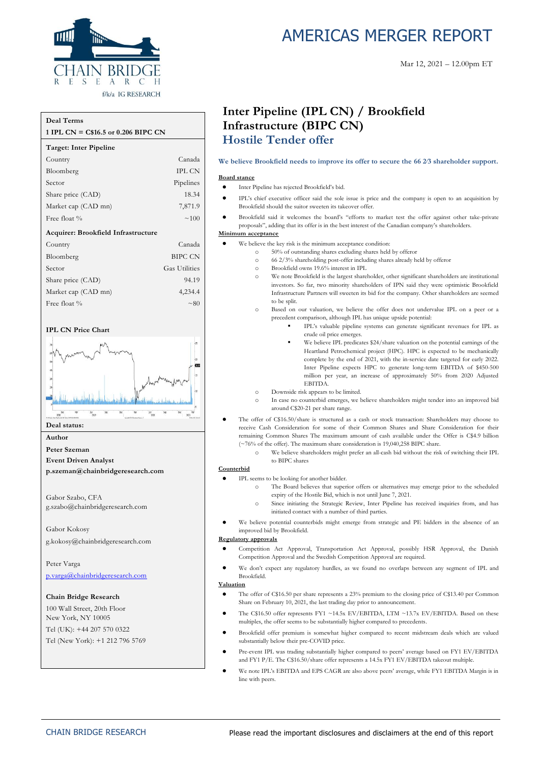

#### **Deal Terms**

#### **1 IPL CN = C\$16.5 or 0.206 BIPC CN**

| Target: Inter Pipeline              |                      |
|-------------------------------------|----------------------|
| Country                             | Canada               |
| Bloomberg                           | <b>IPL CN</b>        |
| Sector                              | Pipelines            |
| Share price (CAD)                   | 18.34                |
| Market cap (CAD mn)                 | 7,871.9              |
| Free float %                        | $\sim 100$           |
| Acquirer: Brookfield Infrastructure |                      |
| Country                             | Canada               |
| Bloomberg                           | BIPC CN              |
| Sector                              | <b>Gas Utilities</b> |
| Share price (CAD)                   | 94.19                |
| Market cap (CAD mn)                 | 4,234.4              |
| Free float %                        | $\sim 80$            |

#### **IPL CN Price Chart**



#### **Deal status:**

#### **Author**

**Peter Szeman**

**Event Driven Analyst**

**p.szeman@chainbridgeresearch.com**

Gabor Szabo, CFA g.szabo@chainbridgeresearch.com

Gabor Kokosy g.kokosy@chainbridgeresearch.com

Peter Varga [p.varga@chainbridgeresearch.com](mailto:p.varga@chainbridgeresearch.com)

#### **Chain Bridge Research**

100 Wall Street, 20th Floor New York, NY 10005 Tel (UK): +44 207 570 0322 Tel (New York): +1 212 796 5769

# AMERICAS MERGER REPORT

## **Inter Pipeline (IPL CN) / Brookfield Infrastructure (BIPC CN) Hostile Tender offer**

## **We believe Brookfield needs to improve its offer to secure the 66 2⁄3 shareholder support.**

#### • Inter Pipeline has rejected Brookfield's bid.

- IPL's chief executive officer said the sole issue is price and the company is open to an acquisition by Brookfield should the suitor sweeten its takeover offer.
	- Brookfield said it welcomes the board's "efforts to market test the offer against other take-private proposals", adding that its offer is in the best interest of the Canadian company's shareholders.

#### **Minimum acceptance**

**Board stance**

- We believe the key risk is the minimum acceptance condition:
	- o 50% of outstanding shares excluding shares held by offeror
		- o 66 2/3% shareholding post-offer including shares already held by offeror
		- o Brookfield owns 19.6% interest in IPL
		- o We note Brookfield is the largest shareholder, other significant shareholders are institutional investors. So far, two minority shareholders of IPN said they were optimistic Brookfield Infrastructure Partners will sweeten its bid for the company. Other shareholders are seemed to be split.
		- o Based on our valuation, we believe the offer does not undervalue IPL on a peer or a precedent comparison, although IPL has unique upside potential:
			- IPL's valuable pipeline systems can generate significant revenues for IPL as crude oil price emerges.
			- We believe IPL predicates \$24/share valuation on the potential earnings of the Heartland Petrochemical project (HPC). HPC is expected to be mechanically complete by the end of 2021, with the in-service date targeted for early 2022. Inter Pipeline expects HPC to generate long-term EBITDA of \$450-500 million per year, an increase of approximately 50% from 2020 Adjusted EBITDA.
	- o Downside risk appears to be limited.
	- o In case no counterbid emerges, we believe shareholders might tender into an improved bid around C\$20-21 per share range.
- The offer of C\$16.50/share is structured as a cash or stock transaction: Shareholders may choose to receive Cash Consideration for some of their Common Shares and Share Consideration for their remaining Common Shares The maximum amount of cash available under the Offer is C\$4.9 billion  $(\sim 76\%$  of the offer). The maximum share consideration is 19,040,258 BIPC share.
	- o We believe shareholders might prefer an all-cash bid without the risk of switching their IPL to BIPC shares

#### **Counterbid**

- IPL seems to be looking for another bidder.
	- o The Board believes that superior offers or alternatives may emerge prior to the scheduled expiry of the Hostile Bid, which is not until June 7, 2021.
	- o Since initiating the Strategic Review, Inter Pipeline has received inquiries from, and has initiated contact with a number of third parties.
- We believe potential counterbids might emerge from strategic and PE bidders in the absence of an improved bid by Brookfield.

#### **Regulatory approvals**

- Competition Act Approval, Transportation Act Approval, possibly HSR Approval, the Danish Competition Approval and the Swedish Competition Approval are required.
	- We don't expect any regulatory hurdles, as we found no overlaps between any segment of IPL and Brookfield.

#### **Valuation**

- The offer of C\$16.50 per share represents a 23% premium to the closing price of C\$13.40 per Common Share on February 10, 2021, the last trading day prior to announcement.
- The C\$16.50 offer represents FY1 ~14.5x EV/EBITDA, LTM ~13.7x EV/EBITDA. Based on these multiples, the offer seems to be substantially higher compared to precedents.
- Brookfield offer premium is somewhat higher compared to recent midstream deals which are valued substantially below their pre-COVID price.
- Pre-event IPL was trading substantially higher compared to peers' average based on FY1 EV/EBITDA and FY1 P/E. The C\$16.50/share offer represents a 14.5x FY1 EV/EBITDA takeout multiple.
- We note IPL's EBITDA and EPS CAGR are also above peers' average, while FY1 EBITDA Margin is in line with peers.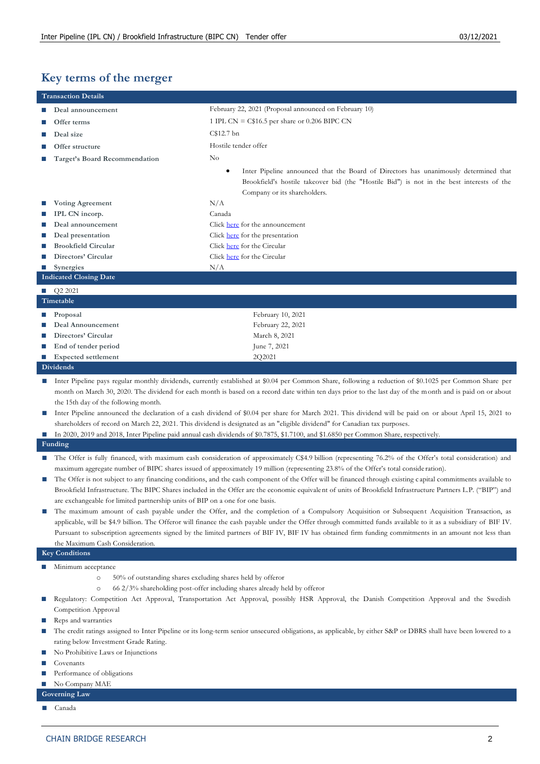## **Key terms of the merger**

|                | <b>Transaction Details</b>                                                                                                                                                            |                                                                                                                                                           |  |  |  |  |  |
|----------------|---------------------------------------------------------------------------------------------------------------------------------------------------------------------------------------|-----------------------------------------------------------------------------------------------------------------------------------------------------------|--|--|--|--|--|
|                | Deal announcement                                                                                                                                                                     | February 22, 2021 (Proposal announced on February 10)                                                                                                     |  |  |  |  |  |
|                | Offer terms                                                                                                                                                                           | 1 IPL CN = $C$16.5$ per share or 0.206 BIPC CN                                                                                                            |  |  |  |  |  |
|                | Deal size                                                                                                                                                                             | C\$12.7 bn                                                                                                                                                |  |  |  |  |  |
|                | Offer structure                                                                                                                                                                       | Hostile tender offer                                                                                                                                      |  |  |  |  |  |
|                | Target's Board Recommendation                                                                                                                                                         | $\rm No$                                                                                                                                                  |  |  |  |  |  |
|                |                                                                                                                                                                                       | Inter Pipeline announced that the Board of Directors has unanimously determined that                                                                      |  |  |  |  |  |
|                |                                                                                                                                                                                       | Brookfield's hostile takeover bid (the "Hostile Bid") is not in the best interests of the                                                                 |  |  |  |  |  |
|                |                                                                                                                                                                                       | Company or its shareholders.                                                                                                                              |  |  |  |  |  |
|                | <b>Voting Agreement</b>                                                                                                                                                               | N/A                                                                                                                                                       |  |  |  |  |  |
|                | IPL CN incorp.                                                                                                                                                                        | Canada                                                                                                                                                    |  |  |  |  |  |
|                | Deal announcement                                                                                                                                                                     | Click here for the announcement                                                                                                                           |  |  |  |  |  |
|                | Deal presentation                                                                                                                                                                     | Click here for the presentation                                                                                                                           |  |  |  |  |  |
|                | <b>Brookfield Circular</b>                                                                                                                                                            | Click here for the Circular                                                                                                                               |  |  |  |  |  |
|                | Directors' Circular                                                                                                                                                                   | Click here for the Circular                                                                                                                               |  |  |  |  |  |
| ш              | <b>Synergies</b>                                                                                                                                                                      | N/A                                                                                                                                                       |  |  |  |  |  |
|                | <b>Indicated Closing Date</b>                                                                                                                                                         |                                                                                                                                                           |  |  |  |  |  |
|                | $\Box$ Q2 2021                                                                                                                                                                        |                                                                                                                                                           |  |  |  |  |  |
|                | Timetable                                                                                                                                                                             |                                                                                                                                                           |  |  |  |  |  |
|                | Proposal                                                                                                                                                                              | February 10, 2021                                                                                                                                         |  |  |  |  |  |
|                | Deal Announcement                                                                                                                                                                     | February 22, 2021                                                                                                                                         |  |  |  |  |  |
| ш              | Directors' Circular                                                                                                                                                                   | March 8, 2021                                                                                                                                             |  |  |  |  |  |
| ш              | End of tender period                                                                                                                                                                  | June 7, 2021                                                                                                                                              |  |  |  |  |  |
| <b>Co</b>      | <b>Expected settlement</b>                                                                                                                                                            | 2Q2021                                                                                                                                                    |  |  |  |  |  |
|                | <b>Dividends</b>                                                                                                                                                                      |                                                                                                                                                           |  |  |  |  |  |
| $\mathcal{L}$  |                                                                                                                                                                                       | Inter Pipeline pays regular monthly dividends, currently established at \$0.04 per Common Share, following a reduction of \$0.1025 per Common Share per   |  |  |  |  |  |
|                |                                                                                                                                                                                       | month on March 30, 2020. The dividend for each month is based on a record date within ten days prior to the last day of the month and is paid on or about |  |  |  |  |  |
|                | the 15th day of the following month.                                                                                                                                                  |                                                                                                                                                           |  |  |  |  |  |
| ш              |                                                                                                                                                                                       | Inter Pipeline announced the declaration of a cash dividend of \$0.04 per share for March 2021. This dividend will be paid on or about April 15, 2021 to  |  |  |  |  |  |
|                |                                                                                                                                                                                       | shareholders of record on March 22, 2021. This dividend is designated as an "eligible dividend" for Canadian tax purposes.                                |  |  |  |  |  |
| $\mathbb{R}^n$ |                                                                                                                                                                                       | In 2020, 2019 and 2018, Inter Pipeline paid annual cash dividends of \$0.7875, \$1.7100, and \$1.6850 per Common Share, respectively.                     |  |  |  |  |  |
|                | Funding                                                                                                                                                                               |                                                                                                                                                           |  |  |  |  |  |
|                |                                                                                                                                                                                       | The Offer is fully financed, with maximum cash consideration of approximately C\$4.9 billion (representing 76.2% of the Offer's total consideration) and  |  |  |  |  |  |
|                |                                                                                                                                                                                       | maximum aggregate number of BIPC shares issued of approximately 19 million (representing 23.8% of the Offer's total consideration).                       |  |  |  |  |  |
| $\Box$         | The Offer is not subject to any financing conditions, and the cash component of the Offer will be financed through existing capital commitments available to                          |                                                                                                                                                           |  |  |  |  |  |
|                | Brookfield Infrastructure. The BIPC Shares included in the Offer are the economic equivalent of units of Brookfield Infrastructure Partners L.P. ("BIP") and                          |                                                                                                                                                           |  |  |  |  |  |
|                | are exchangeable for limited partnership units of BIP on a one for one basis.                                                                                                         |                                                                                                                                                           |  |  |  |  |  |
| $\mathbb{Z}$   | The maximum amount of cash payable under the Offer, and the completion of a Compulsory Acquisition or Subsequent Acquisition Transaction, as                                          |                                                                                                                                                           |  |  |  |  |  |
|                | applicable, will be \$4.9 billion. The Offeror will finance the cash payable under the Offer through committed funds available to it as a subsidiary of BIF IV.                       |                                                                                                                                                           |  |  |  |  |  |
|                | Pursuant to subscription agreements signed by the limited partners of BIF IV, BIF IV has obtained firm funding commitments in an amount not less than                                 |                                                                                                                                                           |  |  |  |  |  |
|                | the Maximum Cash Consideration.                                                                                                                                                       |                                                                                                                                                           |  |  |  |  |  |
|                | <b>Key Conditions</b>                                                                                                                                                                 |                                                                                                                                                           |  |  |  |  |  |
| $\mathcal{L}$  | Minimum acceptance                                                                                                                                                                    |                                                                                                                                                           |  |  |  |  |  |
|                | 50% of outstanding shares excluding shares held by offeror<br>$\circ$                                                                                                                 |                                                                                                                                                           |  |  |  |  |  |
|                | $\circ$                                                                                                                                                                               | 66 2/3% shareholding post-offer including shares already held by offeror                                                                                  |  |  |  |  |  |
| $\mathcal{L}$  |                                                                                                                                                                                       | Regulatory: Competition Act Approval, Transportation Act Approval, possibly HSR Approval, the Danish Competition Approval and the Swedish                 |  |  |  |  |  |
|                | Competition Approval                                                                                                                                                                  |                                                                                                                                                           |  |  |  |  |  |
| ш              | Reps and warranties<br>The credit ratings assigned to Inter Pipeline or its long-term senior unsecured obligations, as applicable, by either S&P or DBRS shall have been lowered to a |                                                                                                                                                           |  |  |  |  |  |
| ш              | rating below Investment Grade Rating.                                                                                                                                                 |                                                                                                                                                           |  |  |  |  |  |
|                | No Prohibitive Laws or Injunctions                                                                                                                                                    |                                                                                                                                                           |  |  |  |  |  |
|                | Covenants                                                                                                                                                                             |                                                                                                                                                           |  |  |  |  |  |
| $\mathbb{R}^n$ | Performance of obligations                                                                                                                                                            |                                                                                                                                                           |  |  |  |  |  |
| ш              | No Company MAE                                                                                                                                                                        |                                                                                                                                                           |  |  |  |  |  |
|                | <b>Governing Law</b>                                                                                                                                                                  |                                                                                                                                                           |  |  |  |  |  |
|                | Canada                                                                                                                                                                                |                                                                                                                                                           |  |  |  |  |  |
|                |                                                                                                                                                                                       |                                                                                                                                                           |  |  |  |  |  |
|                |                                                                                                                                                                                       |                                                                                                                                                           |  |  |  |  |  |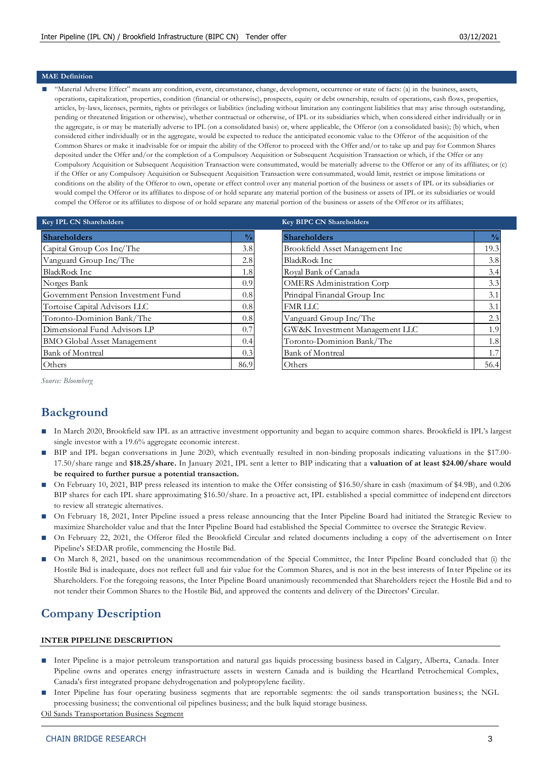#### **MAE Definition**

"Material Adverse Effect" means any condition, event, circumstance, change, development, occurrence or state of facts: (a) in the business, assets, operations, capitalization, properties, condition (financial or otherwise), prospects, equity or debt ownership, results of operations, cash flows, properties, articles, by-laws, licenses, permits, rights or privileges or liabilities (including without limitation any contingent liabilities that ma y arise through outstanding, pending or threatened litigation or otherwise), whether contractual or otherwise, of IPL or its subsidiaries which, when considered either individually or in the aggregate, is or may be materially adverse to IPL (on a consolidated basis) or, where applicable, the Offeror (on a consolidated basis); (b) which, when considered either individually or in the aggregate, would be expected to reduce the anticipated economic value to the Offeror of the acquisition of the Common Shares or make it inadvisable for or impair the ability of the Offeror to proceed with the Offer and/or to take up and pay for Common Shares deposited under the Offer and/or the completion of a Compulsory Acquisition or Subsequent Acquisition Transaction or which, if the Offer or any Compulsory Acquisition or Subsequent Acquisition Transaction were consummated, would be materially adverse to the Offeror or any of its affiliates; or (c) if the Offer or any Compulsory Acquisition or Subsequent Acquisition Transaction were consummated, would limit, restrict or impose limitations or conditions on the ability of the Offeror to own, operate or effect control over any material portion of the business or assets of IPL or its subsidiaries or would compel the Offeror or its affiliates to dispose of or hold separate any material portion of the business or assets of IPL or its subsidiaries or would compel the Offeror or its affiliates to dispose of or hold separate any material portion of the business or assets of the Offeror or its affiliates;

| <b>Key IPL CN Shareholders</b>     |               | <b>Key BIPC CN Shareholders</b> |
|------------------------------------|---------------|---------------------------------|
| <b>Shareholders</b>                | $\frac{0}{0}$ | <b>Shareholders</b>             |
| Capital Group Cos Inc/The          | 3.8           | <b>Brookfield Asset Manage</b>  |
| Vanguard Group Inc/The             | 2.8           | <b>BlackRock Inc</b>            |
| BlackRock Inc                      | 1.8           | Royal Bank of Canada            |
| Norges Bank                        | 0.9           | <b>OMERS</b> Administration     |
| Government Pension Investment Fund | 0.8           | Principal Financial Group       |
| Tortoise Capital Advisors LLC      | 0.8           | <b>FMR LLC</b>                  |
| Toronto-Dominion Bank/The          | 0.8           | Vanguard Group Inc/Tl           |
| Dimensional Fund Advisors LP       | 0.7           | GW&K Investment Mar             |
| BMO Global Asset Management        | 0.4           | Toronto-Dominion Ban            |
| <b>Bank of Montreal</b>            | 0.3           | <b>Bank of Montreal</b>         |
| Others                             | 86.9          | Others                          |

| <b>Key BIPC CN Shareholders</b>  |               |
|----------------------------------|---------------|
| <b>Shareholders</b>              | $\frac{0}{0}$ |
| Brookfield Asset Management Inc  | 19.3          |
| BlackRock Inc                    | 3.8           |
| Royal Bank of Canada             | 3.4           |
| <b>OMERS</b> Administration Corp | 3.3           |
| Principal Financial Group Inc    | 3.1           |
| <b>FMR LLC</b>                   | 3.1           |
| Vanguard Group Inc/The           | 2.3           |
| GW&K Investment Management LLC   | 1.9           |
| Toronto-Dominion Bank/The        | 1.8           |
| <b>Bank of Montreal</b>          | 1.7           |
| )thers                           | 56.4          |

*Source: Bloomberg*

## **Background**

- **■** In March 2020, Brookfield saw IPL as an attractive investment opportunity and began to acquire common shares. Brookfield is IPL's largest single investor with a 19.6% aggregate economic interest.
- BIP and IPL began conversations in June 2020, which eventually resulted in non-binding proposals indicating valuations in the \$17.00-17.50/share range and **\$18.25/share.** In January 2021, IPL sent a letter to BIP indicating that a **valuation of at least \$24.00/share would be required to further pursue a potential transaction.**
- On February 10, 2021, BIP press released its intention to make the Offer consisting of \$16.50/share in cash (maximum of \$4.9B), and 0.206 BIP shares for each IPL share approximating \$16.50/share. In a proactive act, IPL established a special committee of independ ent directors to review all strategic alternatives.
- On February 18, 2021, Inter Pipeline issued a press release announcing that the Inter Pipeline Board had initiated the Strategic Review to maximize Shareholder value and that the Inter Pipeline Board had established the Special Committee to oversee the Strategic Review.
- On February 22, 2021, the Offeror filed the Brookfield Circular and related documents including a copy of the advertisement on Inter Pipeline's SEDAR profile, commencing the Hostile Bid.
- On March 8, 2021, based on the unanimous recommendation of the Special Committee, the Inter Pipeline Board concluded that (i) the Hostile Bid is inadequate, does not reflect full and fair value for the Common Shares, and is not in the best interests of In ter Pipeline or its Shareholders. For the foregoing reasons, the Inter Pipeline Board unanimously recommended that Shareholders reject the Hostile Bid and to not tender their Common Shares to the Hostile Bid, and approved the contents and delivery of the Directors' Circular.

## **Company Description**

#### **INTER PIPELINE DESCRIPTION**

- Inter Pipeline is a major petroleum transportation and natural gas liquids processing business based in Calgary, Alberta, Canada. Inter Pipeline owns and operates energy infrastructure assets in western Canada and is building the Heartland Petrochemical Complex, Canada's first integrated propane dehydrogenation and polypropylene facility.
- Inter Pipeline has four operating business segments that are reportable segments: the oil sands transportation business; the NGL processing business; the conventional oil pipelines business; and the bulk liquid storage business.

Oil Sands Transportation Business Segment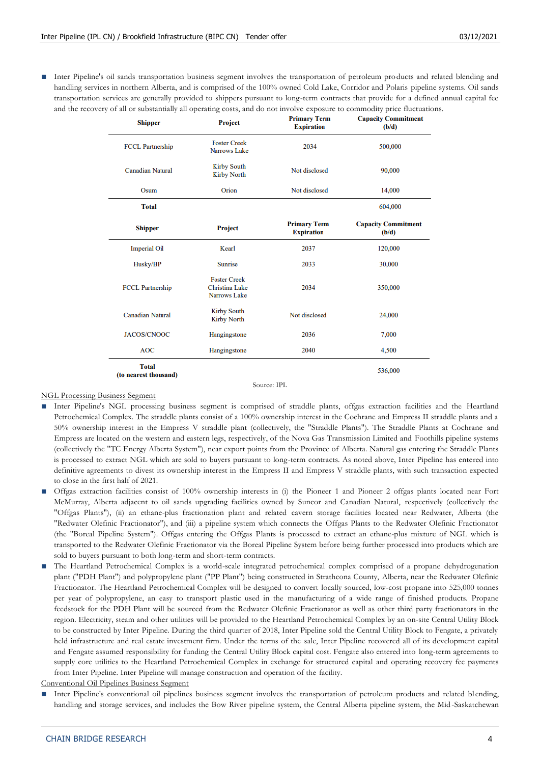■ Inter Pipeline's oil sands transportation business segment involves the transportation of petroleum products and related blending and handling services in northern Alberta, and is comprised of the 100% owned Cold Lake, Corridor and Polaris pipeline systems. Oil sands transportation services are generally provided to shippers pursuant to long-term contracts that provide for a defined annual capital fee and the recovery of all or substantially all operating costs, and do not involve exposure to commodity price fluctuations.

| <b>Shipper</b>                        | Project                                                      | <b>Primary Term</b><br><b>Expiration</b> | <b>Capacity Commitment</b><br>(b/d)<br>500,000 |  |
|---------------------------------------|--------------------------------------------------------------|------------------------------------------|------------------------------------------------|--|
| <b>FCCL Partnership</b>               | <b>Foster Creek</b><br>Narrows Lake                          | 2034                                     |                                                |  |
| <b>Canadian Natural</b>               | <b>Kirby South</b><br><b>Kirby North</b>                     | Not disclosed                            | 90,000                                         |  |
| Osum                                  | Orion                                                        | Not disclosed                            | 14,000                                         |  |
| <b>Total</b>                          |                                                              |                                          | 604,000                                        |  |
| <b>Shipper</b>                        | Project                                                      | <b>Primary Term</b><br><b>Expiration</b> | <b>Capacity Commitment</b><br>(b/d)            |  |
| <b>Imperial Oil</b>                   | Kearl                                                        | 2037                                     | 120,000                                        |  |
| Husky/BP                              | <b>Sunrise</b>                                               | 2033                                     | 30,000                                         |  |
| <b>FCCL Partnership</b>               | <b>Foster Creek</b><br><b>Christina Lake</b><br>Narrows Lake | 2034                                     | 350,000                                        |  |
| <b>Canadian Natural</b>               | <b>Kirby South</b><br>Not disclosed<br><b>Kirby North</b>    |                                          | 24,000                                         |  |
| <b>JACOS/CNOOC</b>                    | Hangingstone                                                 | 2036                                     | 7,000                                          |  |
| <b>AOC</b>                            | Hangingstone                                                 | 2040                                     | 4,500                                          |  |
| <b>Total</b><br>(to nearest thousand) |                                                              |                                          | 536,000                                        |  |

#### Source: IPL

#### NGL Processing Business Segment

- Inter Pipeline's NGL processing business segment is comprised of straddle plants, offgas extraction facilities and the Heartland Petrochemical Complex. The straddle plants consist of a 100% ownership interest in the Cochrane and Empress II straddle plants and a 50% ownership interest in the Empress V straddle plant (collectively, the "Straddle Plants"). The Straddle Plants at Cochrane and Empress are located on the western and eastern legs, respectively, of the Nova Gas Transmission Limited and Foothills pipeline systems (collectively the "TC Energy Alberta System"), near export points from the Province of Alberta. Natural gas entering the Straddle Plants is processed to extract NGL which are sold to buyers pursuant to long-term contracts. As noted above, Inter Pipeline has entered into definitive agreements to divest its ownership interest in the Empress II and Empress V straddle plants, with such transaction expected to close in the first half of 2021.
- **■** Offgas extraction facilities consist of 100% ownership interests in (i) the Pioneer 1 and Pioneer 2 offgas plants located near Fort McMurray, Alberta adjacent to oil sands upgrading facilities owned by Suncor and Canadian Natural, respectively (collectively the "Offgas Plants"), (ii) an ethane-plus fractionation plant and related cavern storage facilities located near Redwater, Alberta (the "Redwater Olefinic Fractionator"), and (iii) a pipeline system which connects the Offgas Plants to the Redwater Olefinic Fractionator (the "Boreal Pipeline System"). Offgas entering the Offgas Plants is processed to extract an ethane-plus mixture of NGL which is transported to the Redwater Olefinic Fractionator via the Boreal Pipeline System before being further processed into products which are sold to buyers pursuant to both long-term and short-term contracts.
- **■** The Heartland Petrochemical Complex is a world-scale integrated petrochemical complex comprised of a propane dehydrogenation plant ("PDH Plant") and polypropylene plant ("PP Plant") being constructed in Strathcona County, Alberta, near the Redwater Olefinic Fractionator. The Heartland Petrochemical Complex will be designed to convert locally sourced, low-cost propane into 525,000 tonnes per year of polypropylene, an easy to transport plastic used in the manufacturing of a wide range of finished products. Propane feedstock for the PDH Plant will be sourced from the Redwater Olefinic Fractionator as well as other third party fractionators in the region. Electricity, steam and other utilities will be provided to the Heartland Petrochemical Complex by an on-site Central Utility Block to be constructed by Inter Pipeline. During the third quarter of 2018, Inter Pipeline sold the Central Utility Block to Fengate, a privately held infrastructure and real estate investment firm. Under the terms of the sale, Inter Pipeline recovered all of its development capital and Fengate assumed responsibility for funding the Central Utility Block capital cost. Fengate also entered into long-term agreements to supply core utilities to the Heartland Petrochemical Complex in exchange for structured capital and operating recovery fee payments from Inter Pipeline. Inter Pipeline will manage construction and operation of the facility.
- Conventional Oil Pipelines Business Segment

Inter Pipeline's conventional oil pipelines business segment involves the transportation of petroleum products and related blending, handling and storage services, and includes the Bow River pipeline system, the Central Alberta pipeline system, the Mid -Saskatchewan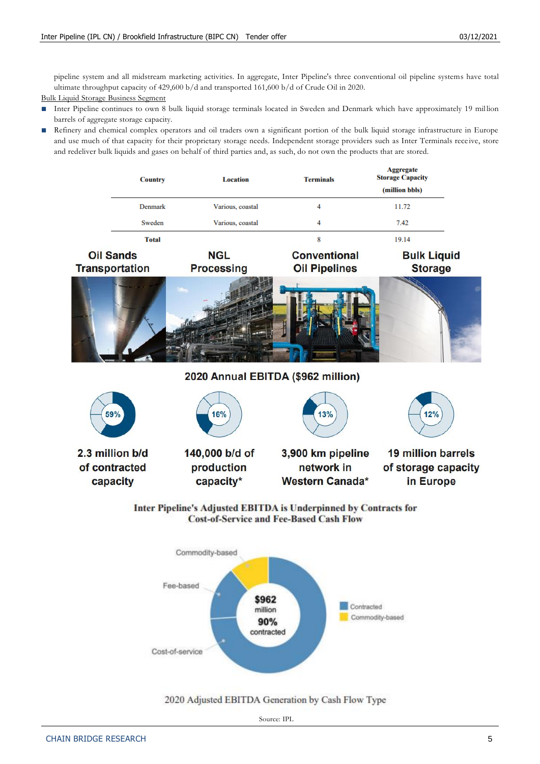Accessorte

pipeline system and all midstream marketing activities. In aggregate, Inter Pipeline's three conventional oil pipeline systems have total ultimate throughput capacity of 429,600 b/d and transported 161,600 b/d of Crude Oil in 2020.

Bulk Liquid Storage Business Segment

- Inter Pipeline continues to own 8 bulk liquid storage terminals located in Sweden and Denmark which have approximately 19 million barrels of aggregate storage capacity.
- Refinery and chemical complex operators and oil traders own a significant portion of the bulk liquid storage infrastructure in Europe and use much of that capacity for their proprietary storage needs. Independent storage providers such as Inter Terminals receive, store and redeliver bulk liquids and gases on behalf of third parties and, as such, do not own the products that are stored.

| <b>Country</b> |                                           | <b>Location</b>                 | <b>Terminals</b>                                                                                                   | Aggregan<br><b>Storage Capacity</b><br>(million bbls) |
|----------------|-------------------------------------------|---------------------------------|--------------------------------------------------------------------------------------------------------------------|-------------------------------------------------------|
|                | <b>Denmark</b>                            | Various, coastal                | 4                                                                                                                  | 11.72                                                 |
|                | Sweden                                    | Various, coastal                | 4                                                                                                                  | 7.42                                                  |
|                | <b>Total</b>                              |                                 | 8                                                                                                                  | 19.14                                                 |
|                | <b>Oil Sands</b><br><b>Transportation</b> | <b>NGL</b><br><b>Processing</b> | <b>Conventional</b><br><b>Oil Pipelines</b>                                                                        | <b>Bulk Liquid</b><br><b>Storage</b>                  |
|                |                                           |                                 |                                                                                                                    |                                                       |
|                |                                           |                                 | 2020 Annual EBITDA (\$962 million)                                                                                 |                                                       |
|                | 59%                                       | 16%                             | 13%                                                                                                                | 12%                                                   |
|                | 2.3 million b/d                           | 140,000 b/d of                  | 3,900 km pipeline                                                                                                  | <b>19 million barrels</b>                             |
|                | of contracted<br>capacity                 | production<br>capacity*         | network in<br><b>Western Canada*</b>                                                                               | of storage capacity<br>in Europe                      |
|                |                                           |                                 | Inter Pipeline's Adjusted EBITDA is Underpinned by Contracts for<br><b>Cost-of-Service and Fee-Based Cash Flow</b> |                                                       |
|                |                                           | and the series of the first     |                                                                                                                    |                                                       |



#### 2020 Adjusted EBITDA Generation by Cash Flow Type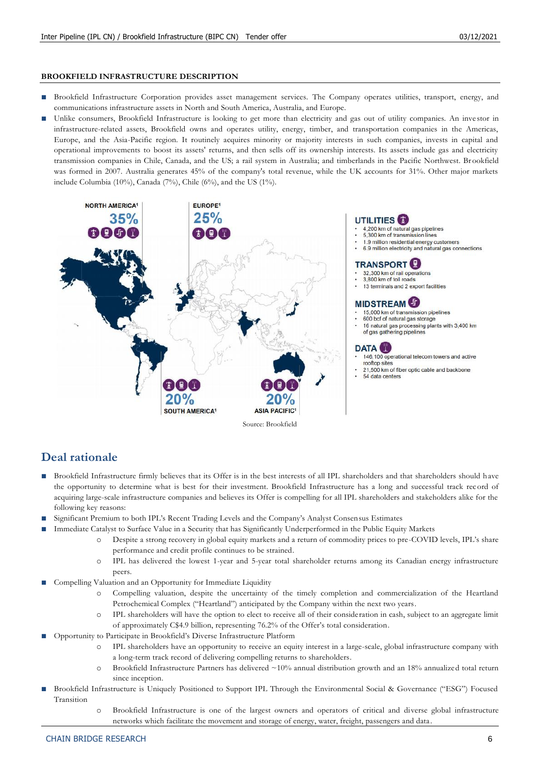#### **BROOKFIELD INFRASTRUCTURE DESCRIPTION**

- Brookfield Infrastructure Corporation provides asset management services. The Company operates utilities, transport, energy, and communications infrastructure assets in North and South America, Australia, and Europe.
- Unlike consumers, Brookfield Infrastructure is looking to get more than electricity and gas out of utility companies. An investor in infrastructure-related assets, Brookfield owns and operates utility, energy, timber, and transportation companies in the Americas, Europe, and the Asia-Pacific region. It routinely acquires minority or majority interests in such companies, invests in capital and operational improvements to boost its assets' returns, and then sells off its ownership interests. Its assets include gas and electricity transmission companies in Chile, Canada, and the US; a rail system in Australia; and timberlands in the Pacific Northwest. Brookfield was formed in 2007. Australia generates 45% of the company's total revenue, while the UK accounts for 31%. Other major markets include Columbia (10%), Canada (7%), Chile (6%), and the US (1%).



## **Deal rationale**

- Brookfield Infrastructure firmly believes that its Offer is in the best interests of all IPL shareholders and that shareholders should have the opportunity to determine what is best for their investment. Brookfield Infrastructure has a long and successful track record of acquiring large-scale infrastructure companies and believes its Offer is compelling for all IPL shareholders and stakeholders alike for the following key reasons:
- **■** Significant Premium to both IPL's Recent Trading Levels and the Company's Analyst Consensus Estimates
	- Immediate Catalyst to Surface Value in a Security that has Significantly Underperformed in the Public Equity Markets
		- Despite a strong recovery in global equity markets and a return of commodity prices to pre-COVID levels, IPL's share performance and credit profile continues to be strained.
		- o IPL has delivered the lowest 1-year and 5-year total shareholder returns among its Canadian energy infrastructure peers.
- Compelling Valuation and an Opportunity for Immediate Liquidity
	- Compelling valuation, despite the uncertainty of the timely completion and commercialization of the Heartland Petrochemical Complex ("Heartland") anticipated by the Company within the next two years.
	- o IPL shareholders will have the option to elect to receive all of their consideration in cash, subject to an aggregate limit of approximately C\$4.9 billion, representing 76.2% of the Offer's total consideration.
- **■** Opportunity to Participate in Brookfield's Diverse Infrastructure Platform
	- IPL shareholders have an opportunity to receive an equity interest in a large-scale, global infrastructure company with a long-term track record of delivering compelling returns to shareholders.
	- o Brookfield Infrastructure Partners has delivered ~10% annual distribution growth and an 18% annualized total return since inception.
- Brookfield Infrastructure is Uniquely Positioned to Support IPL Through the Environmental Social & Governance ("ESG") Focused Transition
	- Brookfield Infrastructure is one of the largest owners and operators of critical and diverse global infrastructure networks which facilitate the movement and storage of energy, water, freight, passengers and data .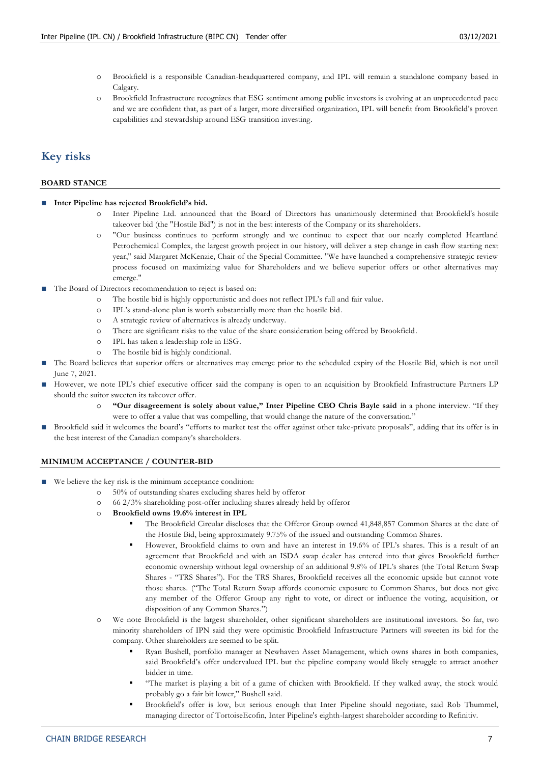- o Brookfield is a responsible Canadian-headquartered company, and IPL will remain a standalone company based in Calgary.
- o Brookfield Infrastructure recognizes that ESG sentiment among public investors is evolving at an unprecedented pace and we are confident that, as part of a larger, more diversified organization, IPL will benefit from Brookfield's proven capabilities and stewardship around ESG transition investing.

## **Key risks**

#### **BOARD STANCE**

- **Inter Pipeline has rejected Brookfield's bid.** 
	- o Inter Pipeline Ltd. announced that the Board of Directors has unanimously determined that Brookfield's hostile takeover bid (the "Hostile Bid") is not in the best interests of the Company or its shareholders.
	- o "Our business continues to perform strongly and we continue to expect that our nearly completed Heartland Petrochemical Complex, the largest growth project in our history, will deliver a step change in cash flow starting next year," said Margaret McKenzie, Chair of the Special Committee. "We have launched a comprehensive strategic review process focused on maximizing value for Shareholders and we believe superior offers or other alternatives may emerge."
- The Board of Directors recommendation to reject is based on:
	- o The hostile bid is highly opportunistic and does not reflect IPL's full and fair value.
	- o IPL's stand-alone plan is worth substantially more than the hostile bid.
	- o A strategic review of alternatives is already underway.
	- o There are significant risks to the value of the share consideration being offered by Brookfield.
	- o IPL has taken a leadership role in ESG.
	- o The hostile bid is highly conditional.
- The Board believes that superior offers or alternatives may emerge prior to the scheduled expiry of the Hostile Bid, which is not until June 7, 2021.
- However, we note IPL's chief executive officer said the company is open to an acquisition by Brookfield Infrastructure Partners LP should the suitor sweeten its takeover offer.
	- "Our disagreement is solely about value," Inter Pipeline CEO Chris Bayle said in a phone interview. "If they were to offer a value that was compelling, that would change the nature of the conversation."
- Brookfield said it welcomes the board's "efforts to market test the offer against other take-private proposals", adding that its offer is in the best interest of the Canadian company's shareholders.

#### **MINIMUM ACCEPTANCE / COUNTER-BID**

- We believe the key risk is the minimum acceptance condition:
	- o 50% of outstanding shares excluding shares held by offeror
	- o 66 2/3% shareholding post-offer including shares already held by offeror
	- o **Brookfield owns 19.6% interest in IPL**
		- The Brookfield Circular discloses that the Offeror Group owned 41,848,857 Common Shares at the date of the Hostile Bid, being approximately 9.75% of the issued and outstanding Common Shares.
		- However, Brookfield claims to own and have an interest in 19.6% of IPL's shares. This is a result of an agreement that Brookfield and with an ISDA swap dealer has entered into that gives Brookfield further economic ownership without legal ownership of an additional 9.8% of IPL's shares (the Total Return Swap Shares - "TRS Shares"). For the TRS Shares, Brookfield receives all the economic upside but cannot vote those shares. ("The Total Return Swap affords economic exposure to Common Shares, but does not give any member of the Offeror Group any right to vote, or direct or influence the voting, acquisition, or disposition of any Common Shares.")
	- o We note Brookfield is the largest shareholder, other significant shareholders are institutional investors. So far, two minority shareholders of IPN said they were optimistic Brookfield Infrastructure Partners will sweeten its bid for the company. Other shareholders are seemed to be split.
		- Ryan Bushell, portfolio manager at Newhaven Asset Management, which owns shares in both companies, said Brookfield's offer undervalued IPL but the pipeline company would likely struggle to attract another bidder in time.
		- "The market is playing a bit of a game of chicken with Brookfield. If they walked away, the stock would probably go a fair bit lower," Bushell said.
		- Brookfield's offer is low, but serious enough that Inter Pipeline should negotiate, said Rob Thummel, managing director of TortoiseEcofin, Inter Pipeline's eighth-largest shareholder according to Refinitiv.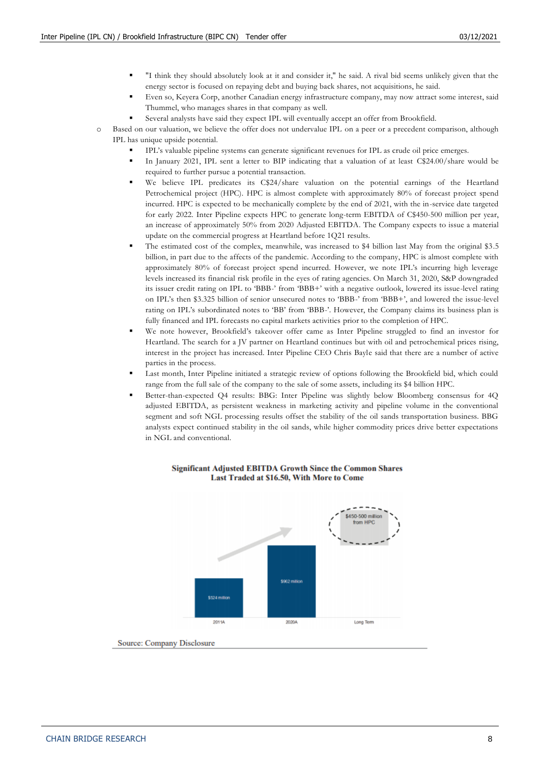- "I think they should absolutely look at it and consider it," he said. A rival bid seems unlikely given that the energy sector is focused on repaying debt and buying back shares, not acquisitions, he said.
- Even so, Keyera Corp, another Canadian energy infrastructure company, may now attract some interest, said Thummel, who manages shares in that company as well.
- Several analysts have said they expect IPL will eventually accept an offer from Brookfield.
- o Based on our valuation, we believe the offer does not undervalue IPL on a peer or a precedent comparison, although IPL has unique upside potential.
	- IPL's valuable pipeline systems can generate significant revenues for IPL as crude oil price emerges.
	- In January 2021, IPL sent a letter to BIP indicating that a valuation of at least C\$24.00/share would be required to further pursue a potential transaction.
	- We believe IPL predicates its C\$24/share valuation on the potential earnings of the Heartland Petrochemical project (HPC). HPC is almost complete with approximately 80% of forecast project spend incurred. HPC is expected to be mechanically complete by the end of 2021, with the in-service date targeted for early 2022. Inter Pipeline expects HPC to generate long-term EBITDA of C\$450-500 million per year, an increase of approximately 50% from 2020 Adjusted EBITDA. The Company expects to issue a material update on the commercial progress at Heartland before 1Q21 results.
	- The estimated cost of the complex, meanwhile, was increased to \$4 billion last May from the original \$3.5 billion, in part due to the affects of the pandemic. According to the company, HPC is almost complete with approximately 80% of forecast project spend incurred. However, we note IPL's incurring high leverage levels increased its financial risk profile in the eyes of rating agencies. On March 31, 2020, S&P downgraded its issuer credit rating on IPL to 'BBB-' from 'BBB+' with a negative outlook, lowered its issue-level rating on IPL's then \$3.325 billion of senior unsecured notes to 'BBB-' from 'BBB+', and lowered the issue-level rating on IPL's subordinated notes to 'BB' from 'BBB-'. However, the Company claims its business plan is fully financed and IPL forecasts no capital markets activities prior to the completion of HPC.
	- We note however, Brookfield's takeover offer came as Inter Pipeline struggled to find an investor for Heartland. The search for a JV partner on Heartland continues but with oil and petrochemical prices rising, interest in the project has increased. Inter Pipeline CEO Chris Bayle said that there are a number of active parties in the process.
	- Last month, Inter Pipeline initiated a strategic review of options following the Brookfield bid, which could range from the full sale of the company to the sale of some assets, including its \$4 billion HPC.
	- Better-than-expected O4 results: BBG: Inter Pipeline was slightly below Bloomberg consensus for 4O adjusted EBITDA, as persistent weakness in marketing activity and pipeline volume in the conventional segment and soft NGL processing results offset the stability of the oil sands transportation business. BBG analysts expect continued stability in the oil sands, while higher commodity prices drive better expectations in NGL and conventional.



#### **Significant Adjusted EBITDA Growth Since the Common Shares** Last Traded at \$16.50, With More to Come

Source: Company Disclosure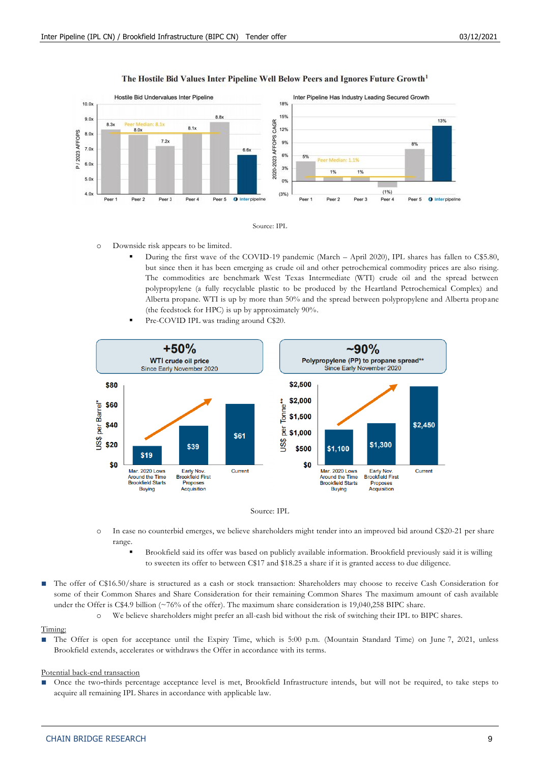

#### The Hostile Bid Values Inter Pipeline Well Below Peers and Ignores Future Growth<sup>1</sup>



- During the first wave of the COVID-19 pandemic (March April 2020), IPL shares has fallen to C\$5.80, but since then it has been emerging as crude oil and other petrochemical commodity prices are also rising. The commodities are benchmark West Texas Intermediate (WTI) crude oil and the spread between polypropylene (a fully recyclable plastic to be produced by the Heartland Petrochemical Complex) and Alberta propane. WTI is up by more than 50% and the spread between polypropylene and Alberta propane (the feedstock for HPC) is up by approximately 90%.
- Pre-COVID IPL was trading around C\$20.





- o In case no counterbid emerges, we believe shareholders might tender into an improved bid around C\$20-21 per share range.
	- Brookfield said its offer was based on publicly available information. Brookfield previously said it is willing to sweeten its offer to between C\$17 and \$18.25 a share if it is granted access to due diligence.
- The offer of C\$16.50/share is structured as a cash or stock transaction: Shareholders may choose to receive Cash Consideration for some of their Common Shares and Share Consideration for their remaining Common Shares The maximum amount of cash available under the Offer is C\$4.9 billion (~76% of the offer). The maximum share consideration is 19,040,258 BIPC share.
	- o We believe shareholders might prefer an all-cash bid without the risk of switching their IPL to BIPC shares.

#### Timing:

The Offer is open for acceptance until the Expiry Time, which is 5:00 p.m. (Mountain Standard Time) on June 7, 2021, unless Brookfield extends, accelerates or withdraws the Offer in accordance with its terms.

#### Potential back-end transaction

Once the two-thirds percentage acceptance level is met, Brookfield Infrastructure intends, but will not be required, to take steps to acquire all remaining IPL Shares in accordance with applicable law.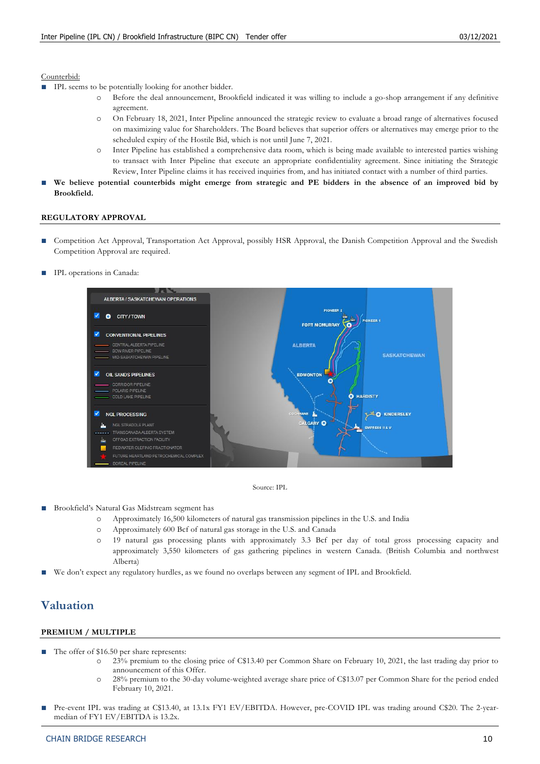#### Counterbid:

- IPL seems to be potentially looking for another bidder.
	- o Before the deal announcement, Brookfield indicated it was willing to include a go-shop arrangement if any definitive agreement.
	- o On February 18, 2021, Inter Pipeline announced the strategic review to evaluate a broad range of alternatives focused on maximizing value for Shareholders. The Board believes that superior offers or alternatives may emerge prior to the scheduled expiry of the Hostile Bid, which is not until June 7, 2021.
	- o Inter Pipeline has established a comprehensive data room, which is being made available to interested parties wishing to transact with Inter Pipeline that execute an appropriate confidentiality agreement. Since initiating the Strategic Review, Inter Pipeline claims it has received inquiries from, and has initiated contact with a number of third parties.
- **■ We believe potential counterbids might emerge from strategic and PE bidders in the absence of an improved bid by Brookfield.**

#### **REGULATORY APPROVAL**

- Competition Act Approval, Transportation Act Approval, possibly HSR Approval, the Danish Competition Approval and the Swedish Competition Approval are required.
- **IPL** operations in Canada:



Source: IPL

- Brookfield's Natural Gas Midstream segment has
	- o Approximately 16,500 kilometers of natural gas transmission pipelines in the U.S. and India
	- o Approximately 600 Bcf of natural gas storage in the U.S. and Canada
	- o 19 natural gas processing plants with approximately 3.3 Bcf per day of total gross processing capacity and approximately 3,550 kilometers of gas gathering pipelines in western Canada. (British Columbia and northwest Alberta)
- **■** We don't expect any regulatory hurdles, as we found no overlaps between any segment of IPL and Brookfield.

## **Valuation**

#### **PREMIUM / MULTIPLE**

- The offer of \$16.50 per share represents:
	- o 23% premium to the closing price of C\$13.40 per Common Share on February 10, 2021, the last trading day prior to announcement of this Offer.
	- o 28% premium to the 30-day volume-weighted average share price of C\$13.07 per Common Share for the period ended February 10, 2021.
- Pre-event IPL was trading at C\$13.40, at 13.1x FY1 EV/EBITDA. However, pre-COVID IPL was trading around C\$20. The 2-yearmedian of FY1 EV/EBITDA is 13.2x.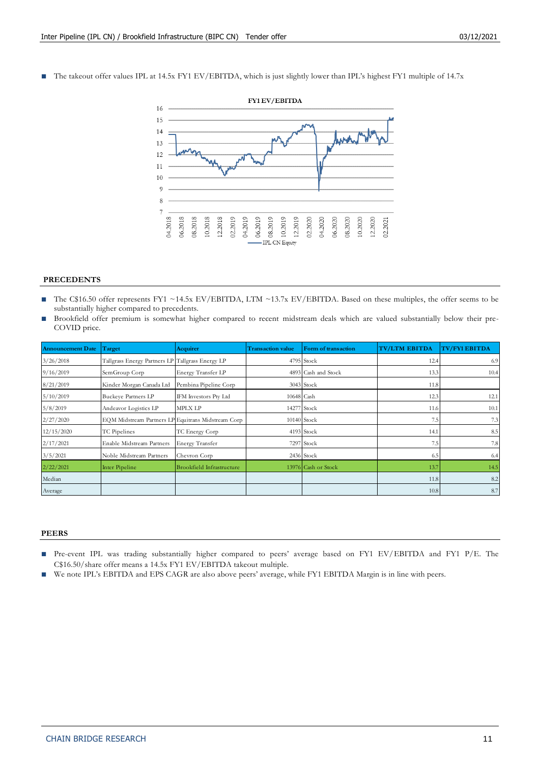■ The takeout offer values IPL at 14.5x FY1 EV/EBITDA, which is just slightly lower than IPL's highest FY1 multiple of 14.7x



#### **PRECEDENTS**

- The C\$16.50 offer represents FY1 ~14.5x EV/EBITDA, LTM ~13.7x EV/EBITDA. Based on these multiples, the offer seems to be substantially higher compared to precedents.
- Brookfield offer premium is somewhat higher compared to recent midstream deals which are valued substantially below their pre-COVID price.

| <b>Announcement Date</b> | Target                                             | <b>Acquirer</b>                  | <b>Transaction value</b> | Form of transaction | <b>TV/LTM EBITDA</b> | <b>TV/FY1 EBITDA</b> |
|--------------------------|----------------------------------------------------|----------------------------------|--------------------------|---------------------|----------------------|----------------------|
| 3/26/2018                | Tallgrass Energy Partners LP Tallgrass Energy LP   |                                  |                          | 4795 Stock          | 12.4                 | 6.9                  |
| 9/16/2019                | SemGroup Corp                                      | Energy Transfer LP               |                          | 4893 Cash and Stock | 13.3                 | 10.4                 |
| 8/21/2019                | Kinder Morgan Canada Ltd                           | Pembina Pipeline Corp            |                          | 3043 Stock          | 11.8                 |                      |
| 5/10/2019                | <b>Buckeye Partners LP</b>                         | IFM Investors Pty Ltd            | 10648 Cash               |                     | 12.3                 | 12.1                 |
| 5/8/2019                 | Andeavor Logistics LP                              | <b>MPLX LP</b>                   |                          | 14277 Stock         | 11.6                 | 10.1                 |
| 2/27/2020                | EQM Midstream Partners LP Equitrans Midstream Corp |                                  |                          | 10140 Stock         | 7.5                  | 7.3                  |
| 12/15/2020               | TC Pipelines                                       | TC Energy Corp                   |                          | 4193 Stock          | 14.1                 | 8.5                  |
| 2/17/2021                | Enable Midstream Partners                          | Energy Transfer                  |                          | 7297 Stock          | 7.5                  | 7.8                  |
| 3/5/2021                 | Noble Midstream Partners                           | Chevron Corp                     |                          | 2436 Stock          | 6.5                  | 6.4                  |
| 2/22/2021                | Inter Pipeline                                     | <b>Brookfield Infrastructure</b> |                          | 13976 Cash or Stock | 13.7                 | 14.5                 |
| Median                   |                                                    |                                  |                          |                     | 11.8                 | 8.2                  |
| Average                  |                                                    |                                  |                          |                     | 10.8                 | 8.7                  |

#### **PEERS**

- **■** Pre-event IPL was trading substantially higher compared to peers' average based on FY1 EV/EBITDA and FY1 P/E. The C\$16.50/share offer means a 14.5x FY1 EV/EBITDA takeout multiple.
- **■** We note IPL's EBITDA and EPS CAGR are also above peers' average, while FY1 EBITDA Margin is in line with peers.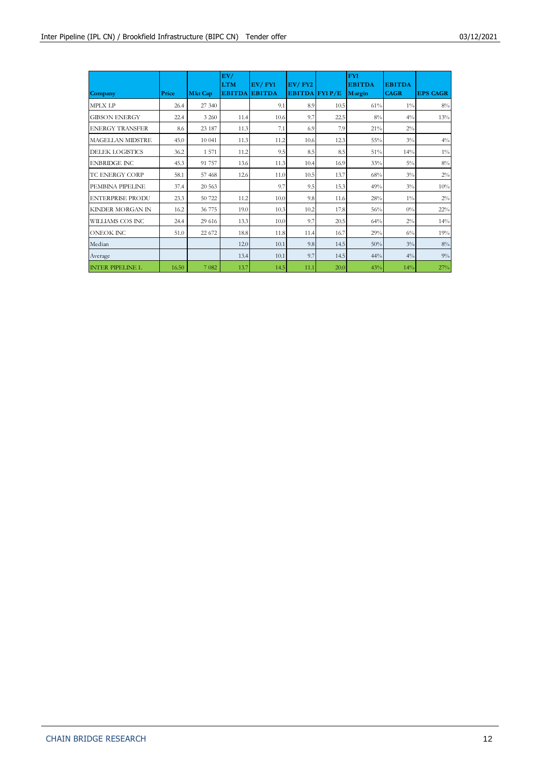| Company                 | Price | <b>Mkt Cap</b> | EV/<br><b>LTM</b><br><b>EBITDA</b> | $EV/$ $FY1$<br><b>EBITDA</b> | $EV/$ $FY2$<br>EBITDA FY1 $P/E$ |      | FY1<br><b>EBITDA</b><br>Margin | <b>EBITDA</b><br><b>CAGR</b> | <b>EPS CAGR</b> |
|-------------------------|-------|----------------|------------------------------------|------------------------------|---------------------------------|------|--------------------------------|------------------------------|-----------------|
| <b>MPLX LP</b>          | 26.4  | 27 340         |                                    | 9.1                          | 8.9                             | 10.5 | 61%                            | $1\%$                        | $8\%$           |
| <b>GIBSON ENERGY</b>    | 22.4  | 3 2 6 0        | 11.4                               | 10.6                         | 9.7                             | 22.5 | $8\%$                          | $4\%$                        | 13%             |
| <b>ENERGY TRANSFER</b>  | 8.6   | 23 187         | 11.3                               | 7.1                          | 6.9                             | 7.9  | 21%                            | $2\%$                        |                 |
| <b>MAGELLAN MIDSTRE</b> | 45.0  | 10 041         | 11.3                               | 11.2                         | 10.6                            | 12.3 | 55%                            | $3\%$                        | $4\%$           |
| <b>DELEK LOGISTICS</b>  | 36.2  | 1 5 7 1        | 11.2                               | 9.5                          | 8.5                             | 8.5  | 51%                            | 14%                          | $1\%$           |
| <b>ENBRIDGE INC.</b>    | 45.3  | 91 757         | 13.6                               | 11.3                         | 10.4                            | 16.9 | 33%                            | $5\%$                        | $8\%$           |
| TC ENERGY CORP          | 58.1  | 57 468         | 12.6                               | 11.0                         | 10.5                            | 13.7 | 68%                            | $3\%$                        | $2\%$           |
| PEMBINA PIPELINE        | 37.4  | 20 563         |                                    | 9.7                          | 9.5                             | 15.3 | 49%                            | $3\%$                        | 10%             |
| <b>ENTERPRISE PRODU</b> | 23.3  | 50 722         | 11.2                               | 10.0                         | 9.8                             | 11.6 | 28%                            | $1\%$                        | $2\%$           |
| <b>KINDER MORGAN IN</b> | 16.2  | 36 775         | 19.0                               | 10.3                         | 10.2                            | 17.8 | 56%                            | $0\%$                        | $22\%$          |
| WILLIAMS COS INC        | 24.4  | 29 616         | 13.3                               | 10.0                         | 9.7                             | 20.5 | 64%                            | $2\%$                        | 14%             |
| <b>ONEOK INC</b>        | 51.0  | 22 672         | 18.8                               | 11.8                         | 11.4                            | 16.7 | 29%                            | $6\%$                        | 19%             |
| Median                  |       |                | 12.0                               | 10.1                         | 9.8                             | 14.5 | 50%                            | $3\%$                        | $8\%$           |
| Average                 |       |                | 13.4                               | 10.1                         | 9.7                             | 14.5 | 44%                            | $4\%$                        | $9\%$           |
| <b>INTER PIPELINE L</b> | 16.50 | 7 0 8 2        | 13.7                               | 14.5                         | 11.1                            | 20.0 | 43%                            | 14%                          | 27%             |